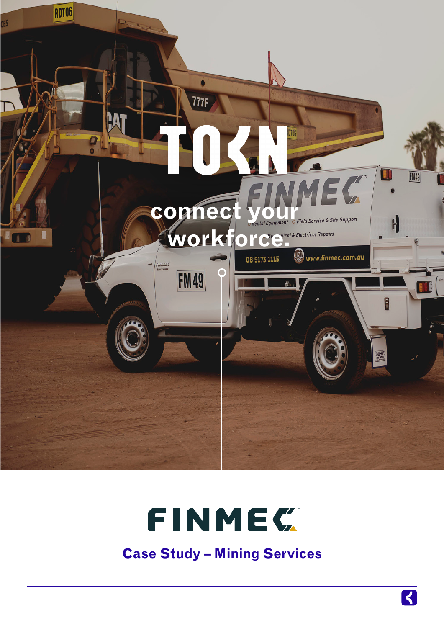



**Case Study – Mining Services**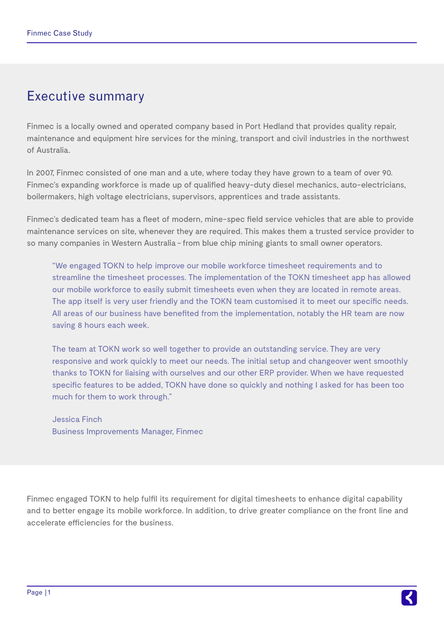## Executive summary

Finmec is a locally owned and operated company based in Port Hedland that provides quality repair, maintenance and equipment hire services for the mining, transport and civil industries in the northwest of Australia.

In 2007, Finmec consisted of one man and a ute, where today they have grown to a team of over 90. Finmec's expanding workforce is made up of qualified heavy-duty diesel mechanics, auto-electricians, boilermakers, high voltage electricians, supervisors, apprentices and trade assistants.

Finmec's dedicated team has a fleet of modern, mine-spec field service vehicles that are able to provide maintenance services on site, whenever they are required. This makes them a trusted service provider to so many companies in Western Australia - from blue chip mining giants to small owner operators.

"We engaged TOKN to help improve our mobile workforce timesheet requirements and to streamline the timesheet processes. The implementation of the TOKN timesheet app has allowed our mobile workforce to easily submit timesheets even when they are located in remote areas. The app itself is very user friendly and the TOKN team customised it to meet our specific needs. All areas of our business have benefited from the implementation, notably the HR team are now saving 8 hours each week.

The team at TOKN work so well together to provide an outstanding service. They are very responsive and work quickly to meet our needs. The initial setup and changeover went smoothly thanks to TOKN for liaising with ourselves and our other ERP provider. When we have requested specific features to be added, TOKN have done so quickly and nothing I asked for has been too much for them to work through."

Jessica Finch Business Improvements Manager, Finmec

Finmec engaged TOKN to help fulfil its requirement for digital timesheets to enhance digital capability and to better engage its mobile workforce. In addition, to drive greater compliance on the front line and accelerate efficiencies for the business.